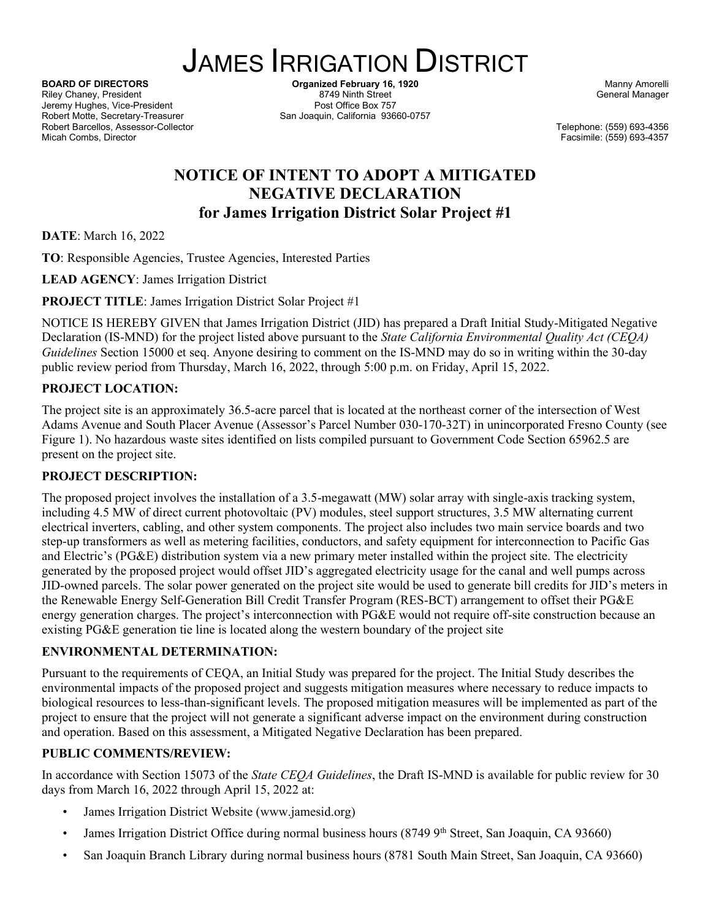# JAMES IRRIGATION DISTRICT

Riley Chaney, President 8749 Ninth Street General Assemblance Changer 8749 Ninth Street General Manager General Manager Street General Manager Street General Manager Street General Manager Street General Manager Street Gen Jeremy Hughes, Vice-President Robert Motte, Secretary-Treasurer San Joaquin, California 93660-0757 Robert Barcellos, Assessor-Collector Telephone: (559) 693-4356 Micah Combs, Director Facsimile: (559) 693-4357

**BOARD OF DIRECTORS Organized February 16, 1920** Manny Amorelli<br>Riley Chaney, President **Channel Amore Books and State Amore Amore Amore Amore Amore Amore Amore Amore Amore Amore A**<br>General Manager

## **NOTICE OF INTENT TO ADOPT A MITIGATED NEGATIVE DECLARATION for James Irrigation District Solar Project #1**

**DATE**: March 16, 2022

**TO**: Responsible Agencies, Trustee Agencies, Interested Parties

**LEAD AGENCY**: James Irrigation District

**PROJECT TITLE**: James Irrigation District Solar Project #1

NOTICE IS HEREBY GIVEN that James Irrigation District (JID) has prepared a Draft Initial Study-Mitigated Negative Declaration (IS-MND) for the project listed above pursuant to the *State California Environmental Quality Act (CEQA) Guidelines* Section 15000 et seq. Anyone desiring to comment on the IS-MND may do so in writing within the 30-day public review period from Thursday, March 16, 2022, through 5:00 p.m. on Friday, April 15, 2022.

#### **PROJECT LOCATION:**

The project site is an approximately 36.5-acre parcel that is located at the northeast corner of the intersection of West Adams Avenue and South Placer Avenue (Assessor's Parcel Number 030-170-32T) in unincorporated Fresno County (see Figure 1). No hazardous waste sites identified on lists compiled pursuant to Government Code Section 65962.5 are present on the project site.

#### **PROJECT DESCRIPTION:**

The proposed project involves the installation of a 3.5-megawatt (MW) solar array with single-axis tracking system, including 4.5 MW of direct current photovoltaic (PV) modules, steel support structures, 3.5 MW alternating current electrical inverters, cabling, and other system components. The project also includes two main service boards and two step-up transformers as well as metering facilities, conductors, and safety equipment for interconnection to Pacific Gas and Electric's (PG&E) distribution system via a new primary meter installed within the project site. The electricity generated by the proposed project would offset JID's aggregated electricity usage for the canal and well pumps across JID-owned parcels. The solar power generated on the project site would be used to generate bill credits for JID's meters in the Renewable Energy Self-Generation Bill Credit Transfer Program (RES-BCT) arrangement to offset their PG&E energy generation charges. The project's interconnection with PG&E would not require off-site construction because an existing PG&E generation tie line is located along the western boundary of the project site

#### **ENVIRONMENTAL DETERMINATION:**

Pursuant to the requirements of CEQA, an Initial Study was prepared for the project. The Initial Study describes the environmental impacts of the proposed project and suggests mitigation measures where necessary to reduce impacts to biological resources to less-than-significant levels. The proposed mitigation measures will be implemented as part of the project to ensure that the project will not generate a significant adverse impact on the environment during construction and operation. Based on this assessment, a Mitigated Negative Declaration has been prepared.

#### **PUBLIC COMMENTS/REVIEW:**

In accordance with Section 15073 of the *State CEQA Guidelines*, the Draft IS-MND is available for public review for 30 days from March 16, 2022 through April 15, 2022 at:

- James Irrigation District Website (www.jamesid.org)
- James Irrigation District Office during normal business hours  $(87499<sup>th</sup> Street, San Joaquin, CA 93660)$
- San Joaquin Branch Library during normal business hours (8781 South Main Street, San Joaquin, CA 93660)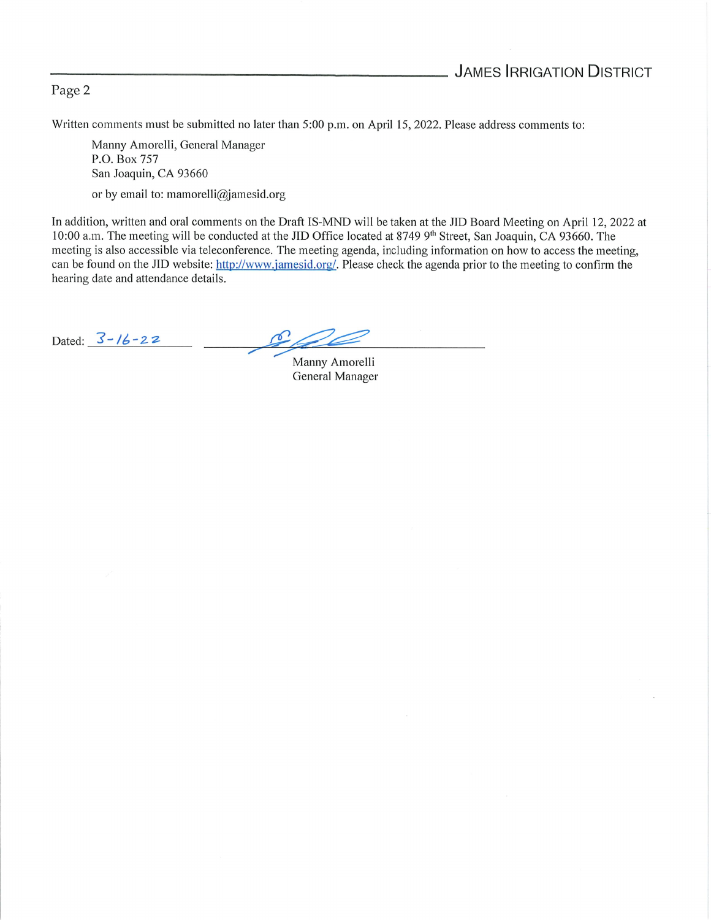#### Page <sup>2</sup>

Written comments must be submitted no later than 5:00 p.m. on April 15, 2022. Please address comments to:

Manny Amorelli, General Manager P.O. Box 757 San Joaquin, CA 93660

or by email to: mamorelli@jamesid.org

In addition, written and oral comments on the Draft IS-MND will be taken at the JID Board Meeting on April 12, 2022 at 10:00 a.m. The meeting will be conducted at the JID Office located at 8749 9<sup>th</sup> Street, San Joaquin, CA 93660. The meeting is also accessible via teleconference. The meeting agenda, including information on how to access the meeting, can be found on the JID website: http://www.jamesid.org/. Please check the agenda prior to the meeting to confirm the hearing date and attendance details.

Dated:  $3 - 16 - 22$ 

Manny Amorelli General Manager